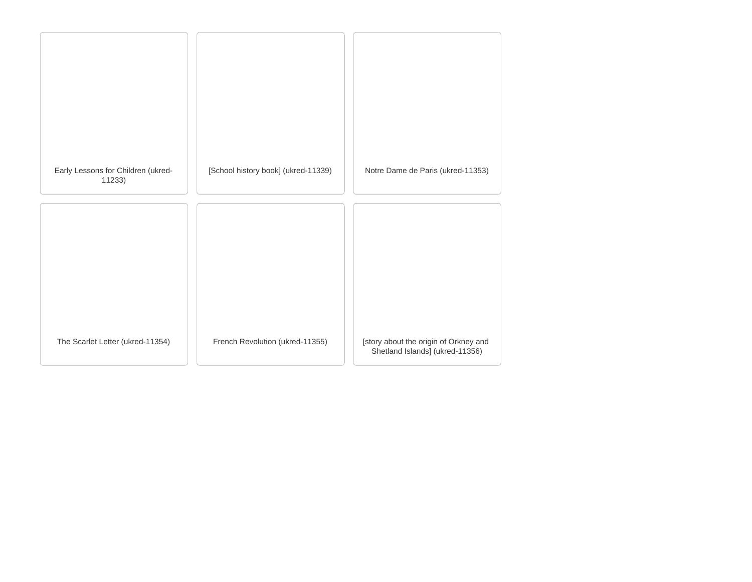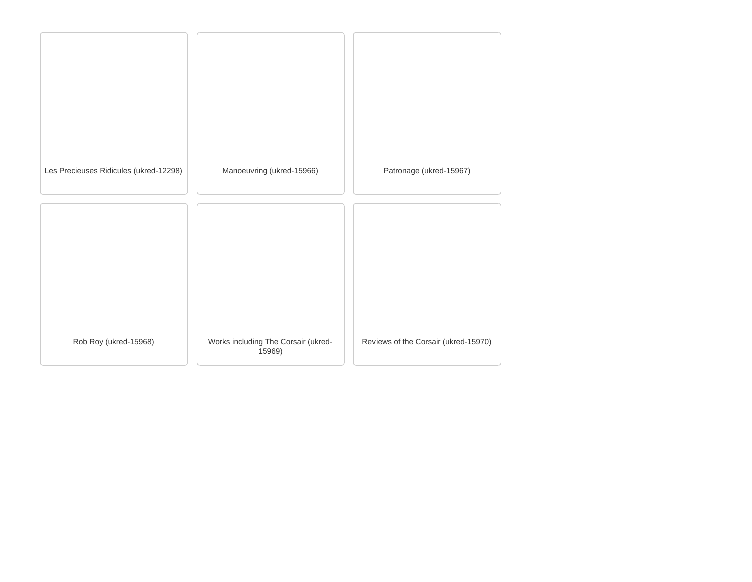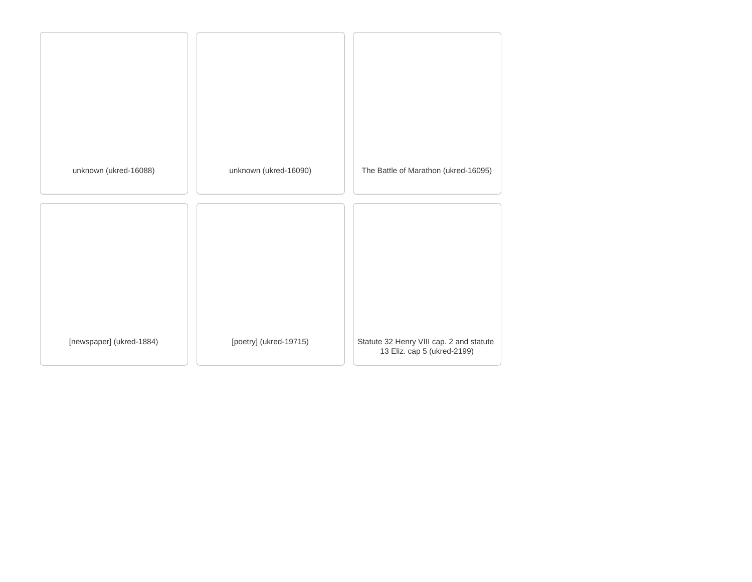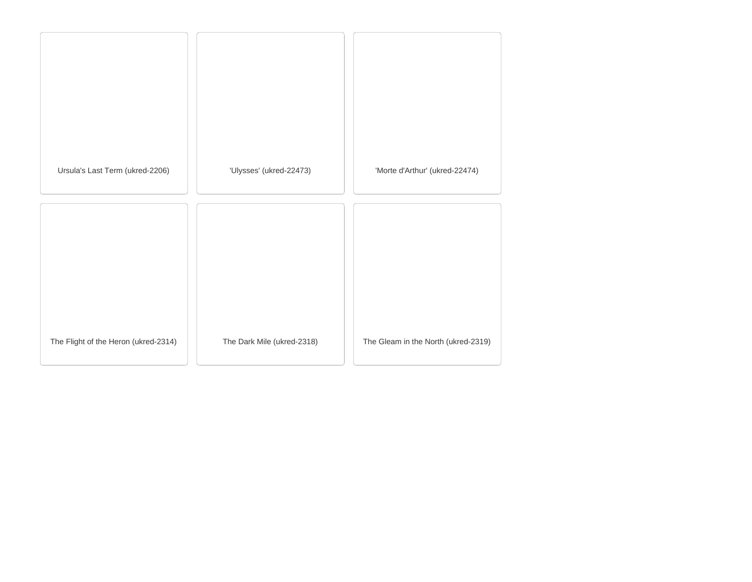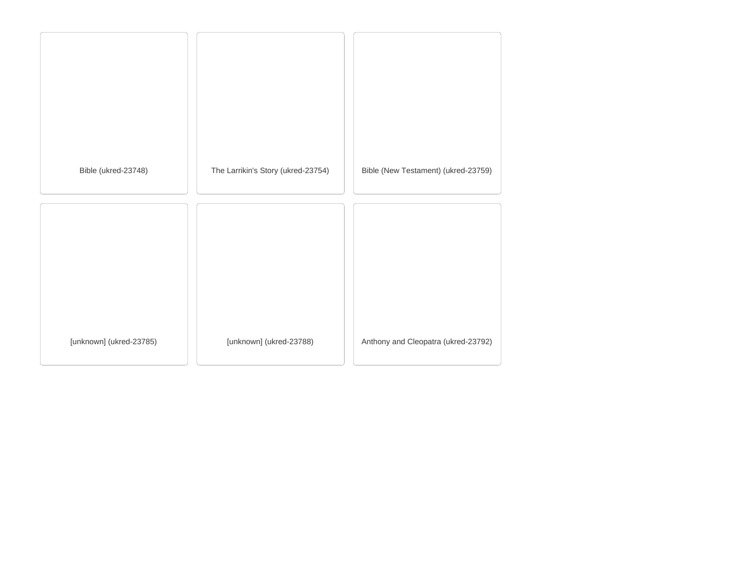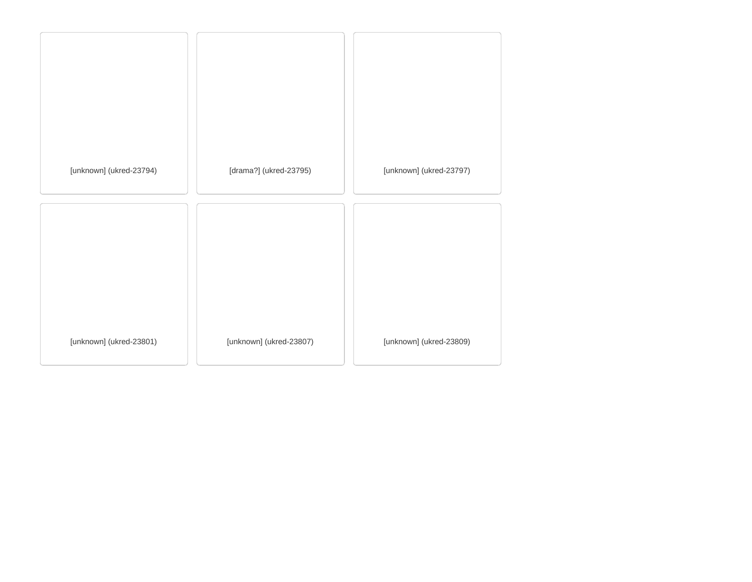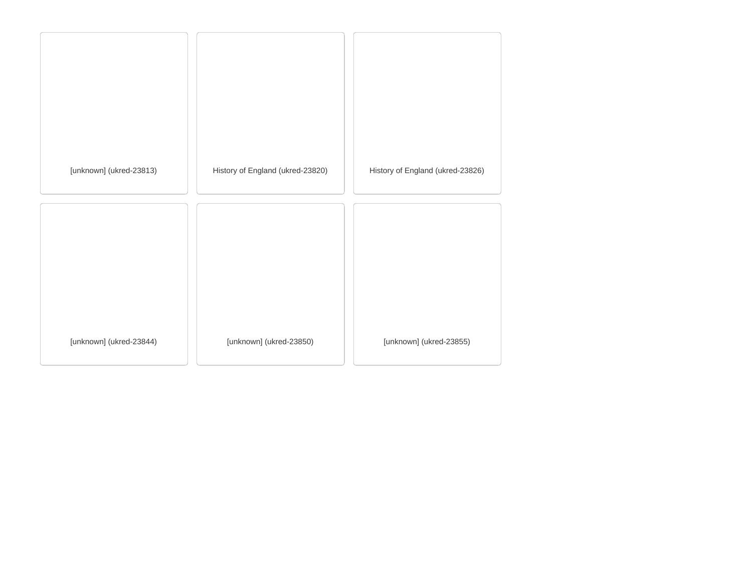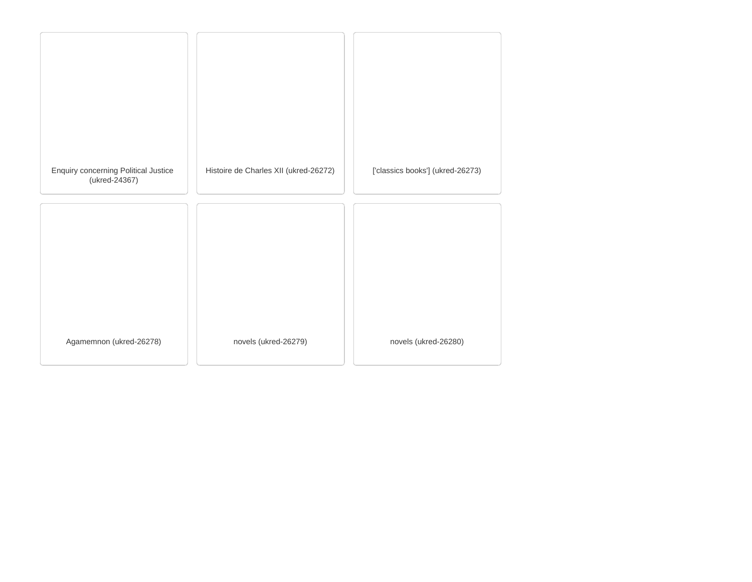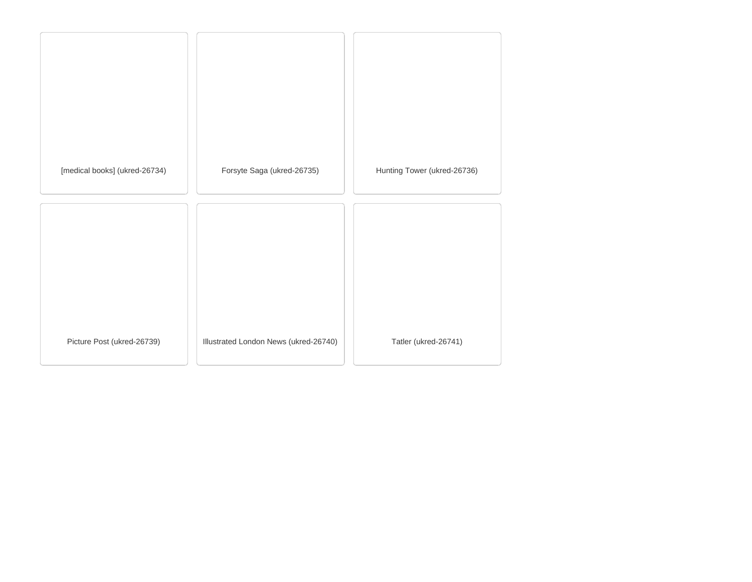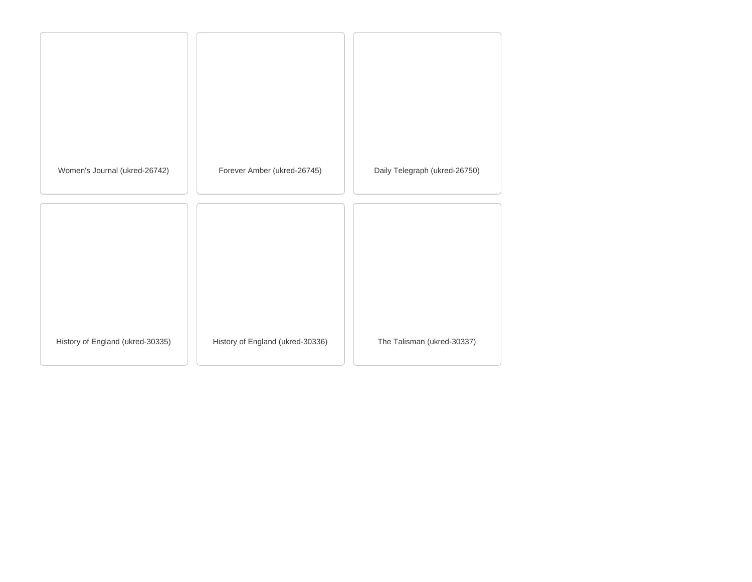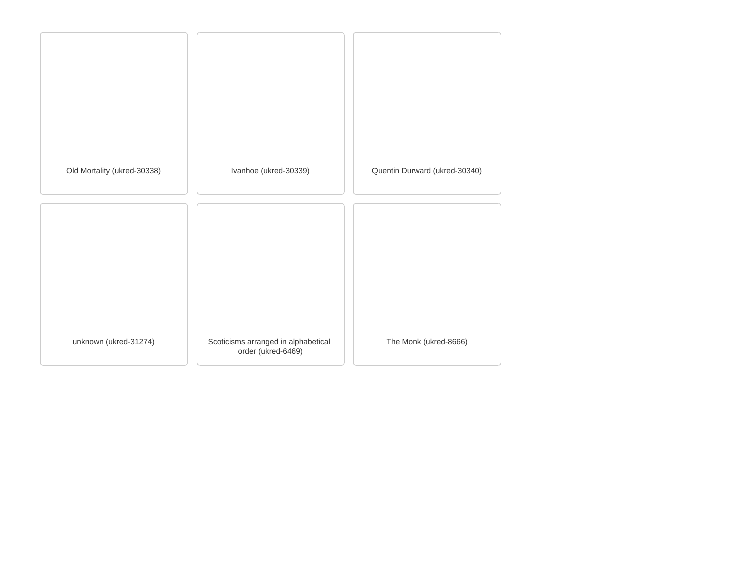